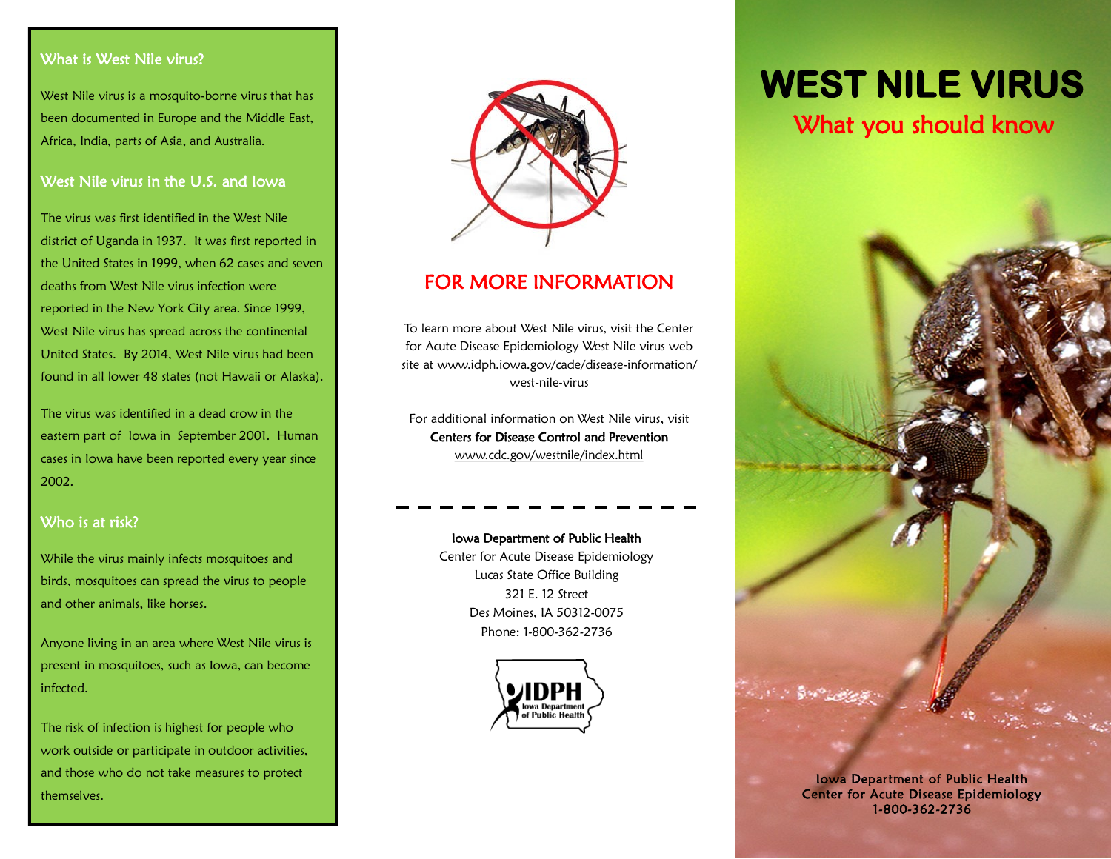#### What is West Nile virus?

West Nile virus is a mosquito-borne virus that has been documented in Europe and the Middle East, Africa, India, parts of Asia, and Australia.

#### West Nile virus in the U.S. and Iowa

The virus was first identified in the West Nile district of Uganda in 1937. It was first reported in the United States in 1999, when 62 cases and seven deaths from West Nile virus infection were reported in the New York City area. Since 1999, West Nile virus has spread across the continental United States. By 2014, West Nile virus had been found in all lower 48 states (not Hawaii or Alaska).

The virus was identified in a dead crow in the eastern part of Iowa in September 2001. Human cases in Iowa have been reported every year since 2002.

#### Who is at risk?

While the virus mainly infects mosquitoes and birds, mosquitoes can spread the virus to people and other animals, like horses.

Anyone living in an area where West Nile virus is present in mosquitoes, such as Iowa, can become infected.

The risk of infection is highest for people who work outside or participate in outdoor activities, and those who do not take measures to protect themselves.



# FOR MORE INFORMATION

To learn more about West Nile virus, visit the Center for Acute Disease Epidemiology West Nile virus web site at www.idph.iowa.gov/cade/disease-information/ west-nile-virus

For additional information on West Nile virus, visit Centers for Disease Control and Prevention www.cdc.gov/westnile/index.html

#### Iowa Department of Public Health Center for Acute Disease Epidemiology Lucas State Office Building 321 E. 12 Street

Des Moines, IA 50312-0075 Phone: 1-800-362-2736



# **WEST NILE VIRUS**

# What you should know